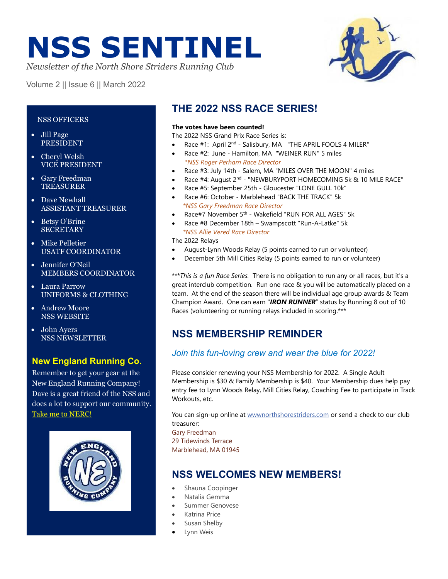# **NSS SENTINEL**

*Newsletter of the North Shore Striders Running Club*

Volume 2 || Issue 6 || March 2022



#### NSS OFFICERS

- Jill Page PRESIDENT
- Cheryl Welsh VICE PRESIDENT
- Gary Freedman **TREASURER**
- Dave Newhall ASSISTANT TREASURER
- Betsy O'Brine **SECRETARY**
- Mike Pelletier USATF COORDINATOR
- Jennifer O'Neil MEMBERS COORDINATOR
- Laura Parrow UNIFORMS & CLOTHING
- Andrew Moore NSS WEBSITE
- John Ayers NSS NEWSLETTER

## **New England Running Co.**

Remember to get your gear at the New England Running Company! Dave is a great friend of the NSS and does a lot to support our community. [Take me to NERC!](http://nerunningco.com/)



## **THE 2022 NSS RACE SERIES!**

#### **The votes have been counted!**

The 2022 NSS Grand Prix Race Series is:

- Race #1: April 2<sup>nd</sup> Salisbury, MA "THE APRIL FOOLS 4 MILER"
- Race #2: June Hamilton, MA "WEINER RUN" 5 miles  *\*NSS Roger Perham Race Director*
- Race #3: July 14th Salem, MA "MILES OVER THE MOON" 4 miles
- Race #4: August 2<sup>nd</sup> "NEWBURYPORT HOMECOMING 5k & 10 MILE RACE"
- Race #5: September 25th Gloucester "LONE GULL 10k"
- Race #6: October Marblehead "BACK THE TRACK" 5k  *\*NSS Gary Freedman Race Director*
- Race#7 November 5<sup>th</sup> Wakefield "RUN FOR ALL AGES" 5k
- Race #8 December 18th Swampscott "Run-A-Latke" 5k  *\*NSS Allie Vered Race Director*

The 2022 Relays

- August-Lynn Woods Relay (5 points earned to run or volunteer)
- December 5th Mill Cities Relay (5 points earned to run or volunteer)

\*\*\**This is a fun Race Series.* There is no obligation to run any or all races, but it's a great interclub competition. Run one race & you will be automatically placed on a team. At the end of the season there will be individual age group awards & Team Champion Award. One can earn "*IRON RUNNER*" status by Running 8 out of 10 Races (volunteering or running relays included in scoring.\*\*\*

## **NSS MEMBERSHIP REMINDER**

#### *Join this fun-loving crew and wear the blue for 2022!*

Please consider renewing your NSS Membership for 2022. A Single Adult Membership is \$30 & Family Membership is \$40. Your Membership dues help pay entry fee to Lynn Woods Relay, Mill Cities Relay, Coaching Fee to participate in Track Workouts, etc.

You can sign-up online at [wwwnorthshorestriders.com](http://www.northshorestriders.com/) or send a check to our club treasurer:

Gary Freedman 29 Tidewinds Terrace Marblehead, MA 01945

## **NSS WELCOMES NEW MEMBERS!**

- Shauna Coopinger
- Natalia Gemma
- Summer Genovese
- Katrina Price
- Susan Shelby
- Lynn Weis